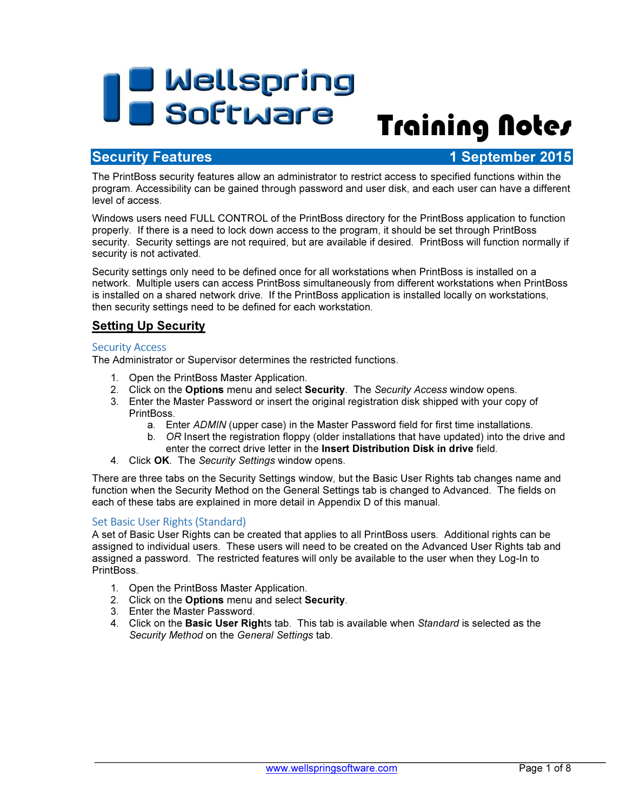# **The Wellspring<br>Training Notes**

## **Security Features 1 September 2015**

The PrintBoss security features allow an administrator to restrict access to specified functions within the program. Accessibility can be gained through password and user disk, and each user can have a different level of access.

Windows users need FULL CONTROL of the PrintBoss directory for the PrintBoss application to function properly. If there is a need to lock down access to the program, it should be set through PrintBoss security. Security settings are not required, but are available if desired. PrintBoss will function normally if security is not activated.

Security settings only need to be defined once for all workstations when PrintBoss is installed on a network. Multiple users can access PrintBoss simultaneously from different workstations when PrintBoss is installed on a shared network drive. If the PrintBoss application is installed locally on workstations, then security settings need to be defined for each workstation.

#### **Setting Up Security**

#### Security Access

The Administrator or Supervisor determines the restricted functions.

- 1. Open the PrintBoss Master Application.
- 2. Click on the Options menu and select Security. The Security Access window opens.
- 3. Enter the Master Password or insert the original registration disk shipped with your copy of PrintBoss.
	- a. Enter ADMIN (upper case) in the Master Password field for first time installations.
	- b. OR Insert the registration floppy (older installations that have updated) into the drive and enter the correct drive letter in the Insert Distribution Disk in drive field.
- 4. Click OK. The Security Settings window opens.

There are three tabs on the Security Settings window, but the Basic User Rights tab changes name and function when the Security Method on the General Settings tab is changed to Advanced. The fields on each of these tabs are explained in more detail in Appendix D of this manual.

#### Set Basic User Rights (Standard)

A set of Basic User Rights can be created that applies to all PrintBoss users. Additional rights can be assigned to individual users. These users will need to be created on the Advanced User Rights tab and assigned a password. The restricted features will only be available to the user when they Log-In to PrintBoss.

- 1. Open the PrintBoss Master Application.
- 2. Click on the **Options** menu and select **Security**.
- 3. Enter the Master Password.
- 4. Click on the Basic User Rights tab. This tab is available when Standard is selected as the Security Method on the General Settings tab.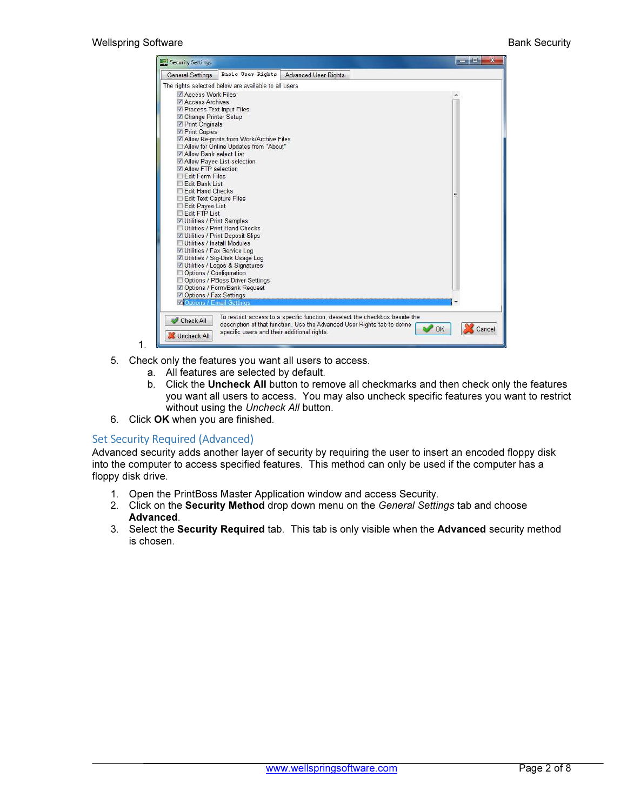

- 1.
- 5. Check only the features you want all users to access.
	- a. All features are selected by default.
	- b. Click the Uncheck All button to remove all checkmarks and then check only the features you want all users to access. You may also uncheck specific features you want to restrict without using the Uncheck All button.
- 6. Click OK when you are finished.

#### Set Security Required (Advanced)

Advanced security adds another layer of security by requiring the user to insert an encoded floppy disk into the computer to access specified features. This method can only be used if the computer has a floppy disk drive.

- 1. Open the PrintBoss Master Application window and access Security.
- 2. Click on the Security Method drop down menu on the General Settings tab and choose Advanced.
- 3. Select the Security Required tab. This tab is only visible when the Advanced security method is chosen.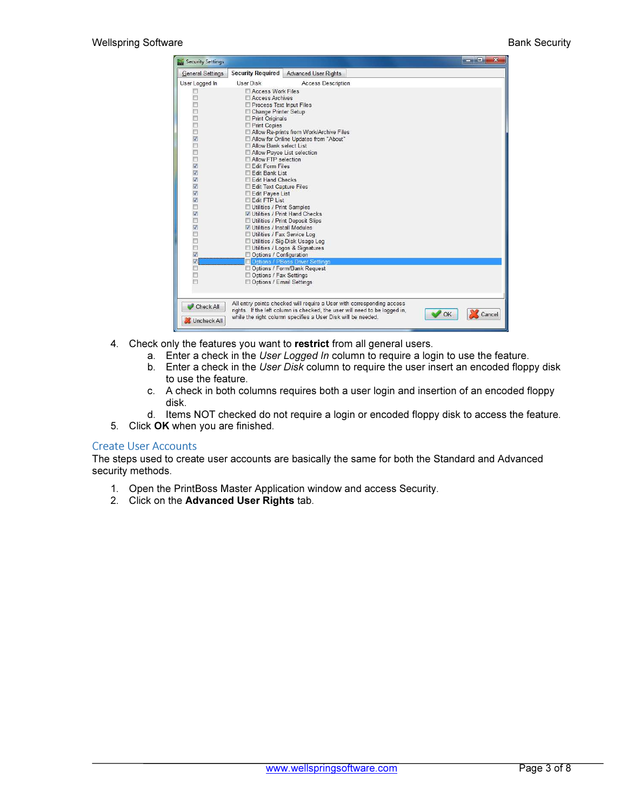| General Settings         | <b>Security Required</b>                                  | <b>Advanced User Rights</b>                                                |    |        |
|--------------------------|-----------------------------------------------------------|----------------------------------------------------------------------------|----|--------|
|                          | User Disk                                                 |                                                                            |    |        |
| User Logged In           |                                                           | <b>Access Description</b>                                                  |    |        |
|                          | Access Work Files                                         |                                                                            |    |        |
| п                        | Access Archives                                           |                                                                            |    |        |
| п                        | Process Text Input Files                                  |                                                                            |    |        |
| E                        | Change Printer Setup                                      |                                                                            |    |        |
| b                        | Print Originals<br>Print Copies                           |                                                                            |    |        |
| Þ                        | Allow Re-prints from Work/Archive Files                   |                                                                            |    |        |
| $\overline{\mathsf{v}}$  | Allow for Online Updates from "About"                     |                                                                            |    |        |
|                          | Allow Bank select List                                    |                                                                            |    |        |
| E                        | Allow Payee List selection                                |                                                                            |    |        |
| D                        | Allow FTP selection                                       |                                                                            |    |        |
| $\overline{\mathbf{v}}$  | Edit Form Files                                           |                                                                            |    |        |
| $\overline{\mathbf{v}}$  | Edit Bank List                                            |                                                                            |    |        |
| $\blacktriangledown$     | Edit Hand Checks                                          |                                                                            |    |        |
| $\blacktriangledown$     | Edit Text Capture Files                                   |                                                                            |    |        |
| $\overline{\mathbf{v}}$  | Edit Payee List                                           |                                                                            |    |        |
| $\overline{\mathbf{v}}$  | Edit FTP List                                             |                                                                            |    |        |
| П                        | Utilities / Print Samples                                 |                                                                            |    |        |
| $\overline{\mathbf{v}}$  | Utilities / Print Hand Checks                             |                                                                            |    |        |
| $\overline{\phantom{0}}$ | Utilities / Print Deposit Slips                           |                                                                            |    |        |
|                          | Utilities / Install Modules                               |                                                                            |    |        |
| П<br>D                   | Utilities / Fax Service Log                               |                                                                            |    |        |
| E                        | Utilities / Sig-Disk Usage Log                            |                                                                            |    |        |
| $\overline{\mathbf{v}}$  | Utilities / Logos & Signatures<br>Options / Configuration |                                                                            |    |        |
| $\overline{\mathcal{L}}$ | Options / PBoss Driver Settings                           |                                                                            |    |        |
|                          | Options / Form/Bank Request                               |                                                                            |    |        |
| п                        | Options / Fax Settings                                    |                                                                            |    |        |
|                          | Options / Email Settings                                  |                                                                            |    |        |
|                          |                                                           |                                                                            |    |        |
|                          |                                                           |                                                                            |    |        |
| Check All                |                                                           | All entry points checked will require a User with corresponding access     |    |        |
|                          |                                                           | rights. If the left column is checked, the user will need to be logged in, | OK | Cancel |
| Uncheck All              |                                                           | while the right column specifies a User Disk will be needed.               |    |        |

- 4. Check only the features you want to restrict from all general users.
	- a. Enter a check in the User Logged In column to require a login to use the feature.
	- b. Enter a check in the User Disk column to require the user insert an encoded floppy disk to use the feature.
	- c. A check in both columns requires both a user login and insertion of an encoded floppy disk.
	- d. Items NOT checked do not require a login or encoded floppy disk to access the feature.
- 5. Click OK when you are finished.

#### Create User Accounts

The steps used to create user accounts are basically the same for both the Standard and Advanced security methods.

- 1. Open the PrintBoss Master Application window and access Security.
- 2. Click on the Advanced User Rights tab.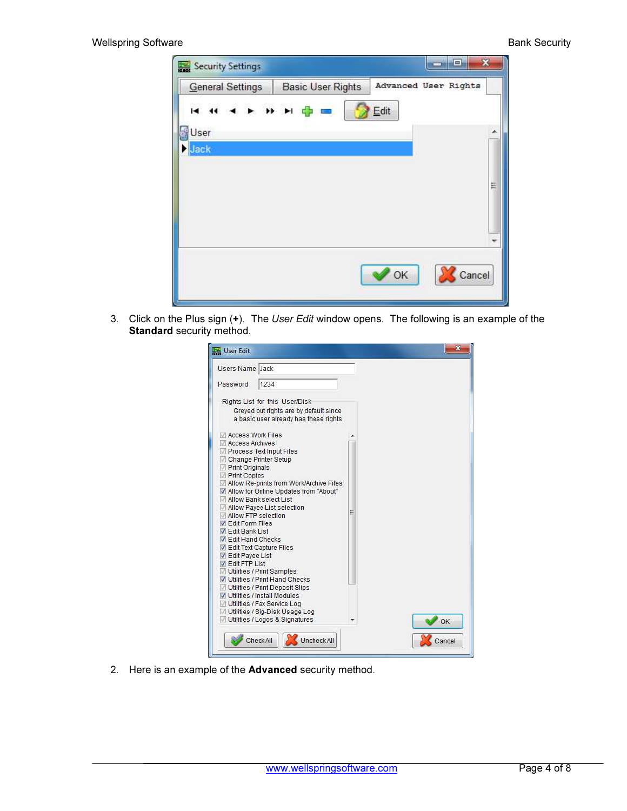| General Settings    | <b>Basic User Rights</b> | Advanced User Rights |
|---------------------|--------------------------|----------------------|
| <b>HH + + H H +</b> |                          | Edit                 |
| User                |                          | ▴                    |
| Jack                |                          |                      |
|                     |                          |                      |
|                     |                          |                      |
|                     |                          |                      |
|                     |                          |                      |
|                     |                          | Ξ                    |
|                     |                          |                      |

3. Click on the Plus sign (+). The User Edit window opens. The following is an example of the Standard security method.

| Users Name Jack                                                                                                                                                                                                                                                                                                                                                                                                        |   |    |
|------------------------------------------------------------------------------------------------------------------------------------------------------------------------------------------------------------------------------------------------------------------------------------------------------------------------------------------------------------------------------------------------------------------------|---|----|
| 1234<br>Password                                                                                                                                                                                                                                                                                                                                                                                                       |   |    |
| Rights List for this User/Disk<br>Greved out rights are by default since<br>a basic user already has these rights                                                                                                                                                                                                                                                                                                      |   |    |
| Access Work Files<br>Access Archives<br>Process Text Input Files<br>Change Printer Setup<br>Print Originals<br>Print Copies<br>Allow Re-prints from Work/Archive Files<br>Allow for Online Updates from "About"<br>Allow Bank select List<br>Allow Payee List selection<br>Allow FTP selection<br><b>J</b> Fdit Form Files<br><b>V</b> Edit Bank List<br><b>J</b> Fdit Hand Checks<br><b>V</b> Edit Text Capture Files | Ξ |    |
| ✔ Edit Payee List<br><b>V</b> Edit FTP List<br>Utilities / Print Samples<br>Utilities / Print Hand Checks<br>Utilities / Print Deposit Slips<br>V Utilities / Install Modules<br>Utilities / Fax Service Log<br>Utilities / Sig-Disk Usage Log<br>Utilities / Logos & Signatures                                                                                                                                       |   | OK |

2. Here is an example of the Advanced security method.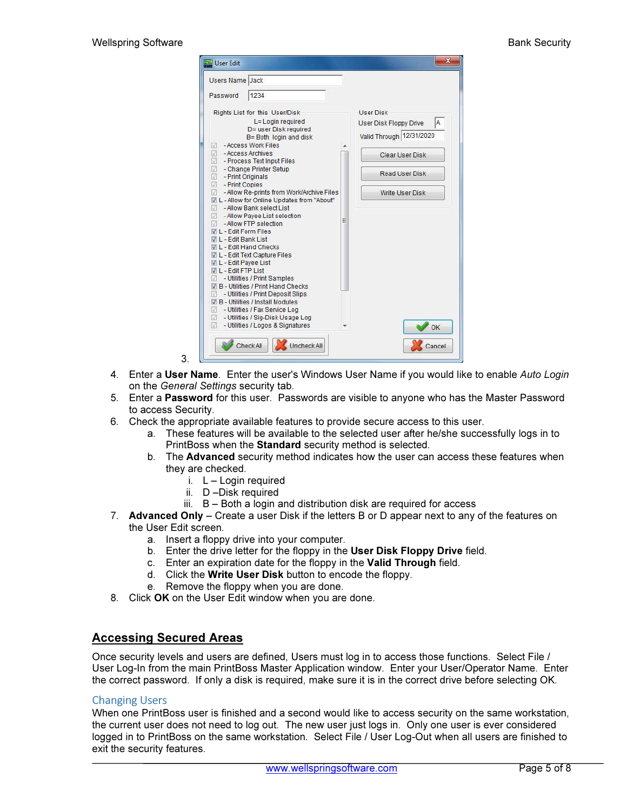| 1234<br>Password<br>Rights List for this User/Disk<br>L= Login required<br>D= user Disk required<br>B= Both login and disk<br>- Access Work Files<br>v<br>- Access Archives<br>v<br>U<br>- Process Text Input Files<br>U<br>- Change Printer Setup<br>V<br>- Print Originals<br>σ<br>- Print Copies<br>- Allow Re-prints from Work/Archive Files<br>IJ<br>V L - Allow for Online Updates from "About"<br>- Allow Bank select List<br>M<br>- Allow Payee List selection<br>V<br>- Allow FTP selection<br>J<br>VII - Edit Form Files | <b>User Disk</b><br>IA.<br>User Disk Floppy Drive<br>Valid Through 12/31/2020<br>Clear User Disk<br>Read User Disk<br>Write User Disk |
|------------------------------------------------------------------------------------------------------------------------------------------------------------------------------------------------------------------------------------------------------------------------------------------------------------------------------------------------------------------------------------------------------------------------------------------------------------------------------------------------------------------------------------|---------------------------------------------------------------------------------------------------------------------------------------|
|                                                                                                                                                                                                                                                                                                                                                                                                                                                                                                                                    |                                                                                                                                       |
|                                                                                                                                                                                                                                                                                                                                                                                                                                                                                                                                    |                                                                                                                                       |
| I - Edit Bank List<br>L - Edit Hand Checks<br>VL-Edit Text Capture Files<br>L - Edit Payee List<br><b>V</b> L - Edit FTP List<br>- Utilities / Print Samples<br>J B - Utilities / Print Hand Checks<br>- Utilities / Print Deposit Slips<br>V B - Utilities / Install Modules<br>- Utilities / Fax Service Log<br>W.<br>- Utilities / Sig-Disk Usage Log<br>U.<br>Utilities / Logos & Signatures                                                                                                                                   | OK                                                                                                                                    |

- 4. Enter a User Name. Enter the user's Windows User Name if you would like to enable Auto Login on the General Settings security tab.
- 5. Enter a Password for this user. Passwords are visible to anyone who has the Master Password to access Security.
- 6. Check the appropriate available features to provide secure access to this user.
	- a. These features will be available to the selected user after he/she successfully logs in to PrintBoss when the Standard security method is selected.
	- b. The Advanced security method indicates how the user can access these features when they are checked.
		- i.  $L -$  Login required
		- ii. D –Disk required
		- iii. B Both a login and distribution disk are required for access
- 7. Advanced Only Create a user Disk if the letters B or D appear next to any of the features on the User Edit screen.
	- a. Insert a floppy drive into your computer.
	- b. Enter the drive letter for the floppy in the User Disk Floppy Drive field.
	- c. Enter an expiration date for the floppy in the Valid Through field.
	- d. Click the Write User Disk button to encode the floppy.
	- e. Remove the floppy when you are done.
- 8. Click OK on the User Edit window when you are done.

#### Accessing Secured Areas

3.

Once security levels and users are defined, Users must log in to access those functions. Select File / User Log-In from the main PrintBoss Master Application window. Enter your User/Operator Name. Enter the correct password. If only a disk is required, make sure it is in the correct drive before selecting OK.

#### Changing Users

When one PrintBoss user is finished and a second would like to access security on the same workstation, the current user does not need to log out. The new user just logs in. Only one user is ever considered logged in to PrintBoss on the same workstation. Select File / User Log-Out when all users are finished to exit the security features.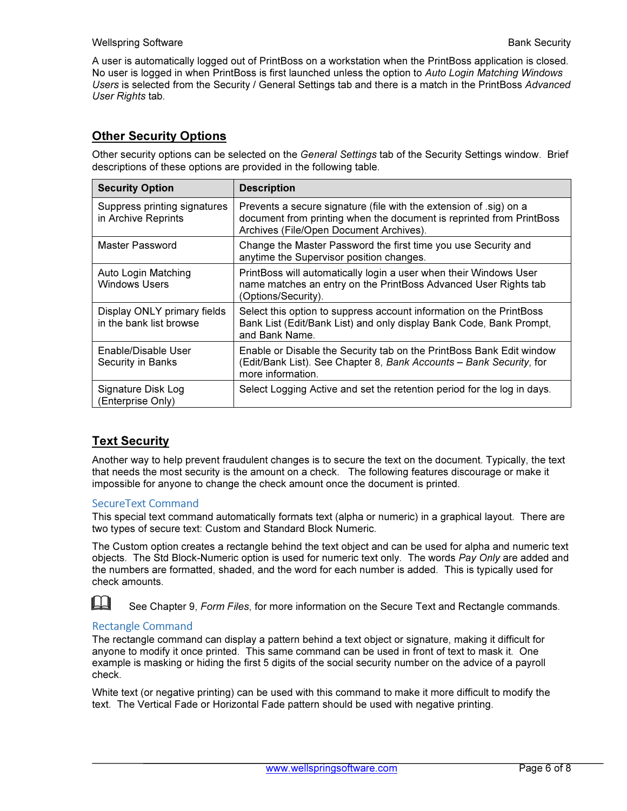#### Wellspring Software **Bank Security** Wellspring Software Bank Security

A user is automatically logged out of PrintBoss on a workstation when the PrintBoss application is closed. No user is logged in when PrintBoss is first launched unless the option to Auto Login Matching Windows Users is selected from the Security / General Settings tab and there is a match in the PrintBoss Advanced User Rights tab.

#### Other Security Options

Other security options can be selected on the General Settings tab of the Security Settings window. Brief descriptions of these options are provided in the following table.

| <b>Security Option</b>                                 | <b>Description</b>                                                                                                                                                                   |
|--------------------------------------------------------|--------------------------------------------------------------------------------------------------------------------------------------------------------------------------------------|
| Suppress printing signatures<br>in Archive Reprints    | Prevents a secure signature (file with the extension of sig) on a<br>document from printing when the document is reprinted from PrintBoss<br>Archives (File/Open Document Archives). |
| Master Password                                        | Change the Master Password the first time you use Security and<br>anytime the Supervisor position changes.                                                                           |
| Auto Login Matching<br><b>Windows Users</b>            | PrintBoss will automatically login a user when their Windows User<br>name matches an entry on the PrintBoss Advanced User Rights tab<br>(Options/Security).                          |
| Display ONLY primary fields<br>in the bank list browse | Select this option to suppress account information on the PrintBoss<br>Bank List (Edit/Bank List) and only display Bank Code, Bank Prompt,<br>and Bank Name.                         |
| Enable/Disable User<br>Security in Banks               | Enable or Disable the Security tab on the PrintBoss Bank Edit window<br>(Edit/Bank List). See Chapter 8, Bank Accounts - Bank Security, for<br>more information.                     |
| Signature Disk Log<br>(Enterprise Only)                | Select Logging Active and set the retention period for the log in days.                                                                                                              |

#### Text Security

Another way to help prevent fraudulent changes is to secure the text on the document. Typically, the text that needs the most security is the amount on a check. The following features discourage or make it impossible for anyone to change the check amount once the document is printed.

#### SecureText Command

This special text command automatically formats text (alpha or numeric) in a graphical layout. There are two types of secure text: Custom and Standard Block Numeric.

The Custom option creates a rectangle behind the text object and can be used for alpha and numeric text objects. The Std Block-Numeric option is used for numeric text only. The words Pay Only are added and the numbers are formatted, shaded, and the word for each number is added. This is typically used for check amounts.

See Chapter 9, Form Files, for more information on the Secure Text and Rectangle commands.

#### Rectangle Command

The rectangle command can display a pattern behind a text object or signature, making it difficult for anyone to modify it once printed. This same command can be used in front of text to mask it. One example is masking or hiding the first 5 digits of the social security number on the advice of a payroll check.

White text (or negative printing) can be used with this command to make it more difficult to modify the text. The Vertical Fade or Horizontal Fade pattern should be used with negative printing.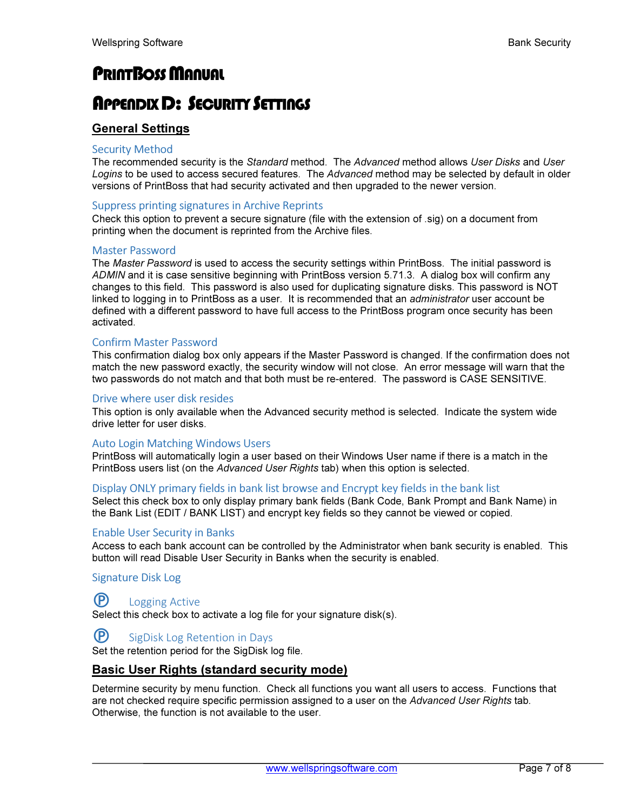# **PRINTBOSS MANUAL**

## APPENDIX D: SECURITY SETTINGS

### General Settings

#### Security Method

The recommended security is the Standard method. The Advanced method allows User Disks and User Logins to be used to access secured features. The Advanced method may be selected by default in older versions of PrintBoss that had security activated and then upgraded to the newer version.

#### Suppress printing signatures in Archive Reprints

Check this option to prevent a secure signature (file with the extension of .sig) on a document from printing when the document is reprinted from the Archive files.

#### Master Password

The Master Password is used to access the security settings within PrintBoss. The initial password is ADMIN and it is case sensitive beginning with PrintBoss version 5.71.3. A dialog box will confirm any changes to this field. This password is also used for duplicating signature disks. This password is NOT linked to logging in to PrintBoss as a user. It is recommended that an *administrator* user account be defined with a different password to have full access to the PrintBoss program once security has been activated.

#### Confirm Master Password

This confirmation dialog box only appears if the Master Password is changed. If the confirmation does not match the new password exactly, the security window will not close. An error message will warn that the two passwords do not match and that both must be re-entered. The password is CASE SENSITIVE.

#### Drive where user disk resides

This option is only available when the Advanced security method is selected. Indicate the system wide drive letter for user disks.

#### Auto Login Matching Windows Users

PrintBoss will automatically login a user based on their Windows User name if there is a match in the PrintBoss users list (on the Advanced User Rights tab) when this option is selected.

#### Display ONLY primary fields in bank list browse and Encrypt key fields in the bank list

Select this check box to only display primary bank fields (Bank Code, Bank Prompt and Bank Name) in the Bank List (EDIT / BANK LIST) and encrypt key fields so they cannot be viewed or copied.

#### Enable User Security in Banks

Access to each bank account can be controlled by the Administrator when bank security is enabled. This button will read Disable User Security in Banks when the security is enabled.

Signature Disk Log

#### **P** Logging Active

Select this check box to activate a log file for your signature disk(s).

#### **P** SigDisk Log Retention in Days

Set the retention period for the SigDisk log file.

#### Basic User Rights (standard security mode)

Determine security by menu function. Check all functions you want all users to access. Functions that are not checked require specific permission assigned to a user on the Advanced User Rights tab. Otherwise, the function is not available to the user.